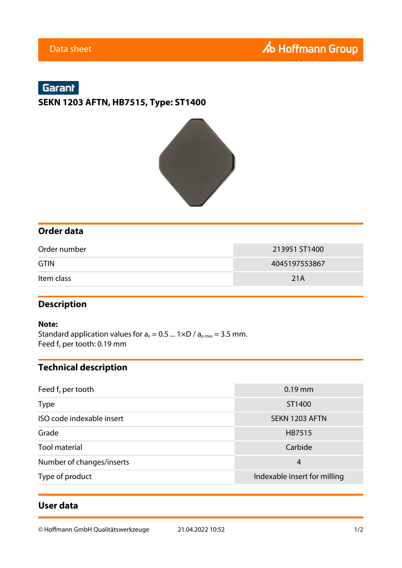# Garant

# **SEKN 1203 AFTN, HB7515, Type: ST1400**



### **Order data**

| Order number | 213951 ST1400 |  |
|--------------|---------------|--|
| <b>GTIN</b>  | 4045197553867 |  |
| Item class   | 21A           |  |

### **Description**

#### **Note:**

Standard application values for  $a_e = 0.5$  ...  $1 \times D / a_{pmax} = 3.5$  mm. Feed  $f_z$  per tooth: 0.19 mm

## **Technical description**

| Feed $fz$ per tooth       | $0.19$ mm                    |  |  |
|---------------------------|------------------------------|--|--|
| <b>Type</b>               | ST1400                       |  |  |
| ISO code indexable insert | SEKN 1203 AFTN               |  |  |
| Grade                     | HB7515                       |  |  |
| <b>Tool material</b>      | Carbide                      |  |  |
| Number of changes/inserts | 4                            |  |  |
| Type of product           | Indexable insert for milling |  |  |

### **User data**

© Hoffmann GmbH Qualitätswerkzeuge 21.04.2022 10:52 1/2